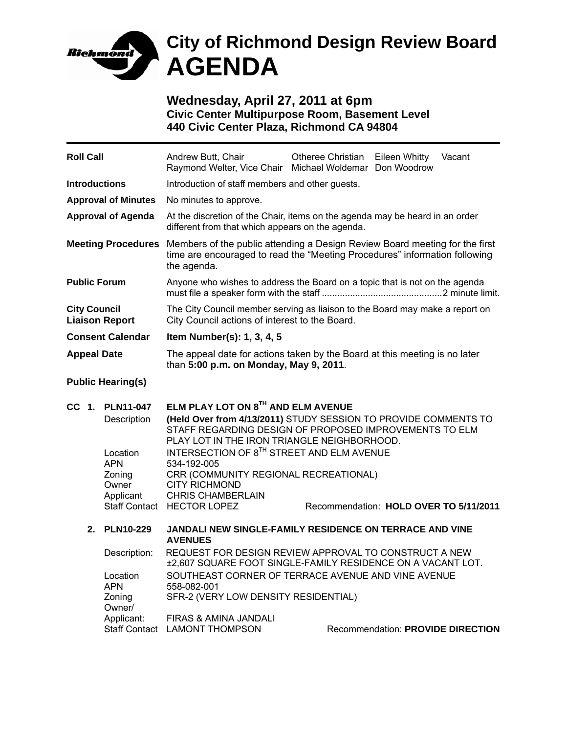

# **City of Richmond Design Review Board AGENDA**

**Wednesday, April 27, 2011 at 6pm Civic Center Multipurpose Room, Basement Level 440 Civic Center Plaza, Richmond CA 94804** 

| <b>Roll Call</b>                             |                                                        |                                            | Andrew Butt, Chair<br>Raymond Welter, Vice Chair Michael Woldemar Don Woodrow                                                                                            | Otheree Christian                      | Eileen Whitty                     | Vacant |  |
|----------------------------------------------|--------------------------------------------------------|--------------------------------------------|--------------------------------------------------------------------------------------------------------------------------------------------------------------------------|----------------------------------------|-----------------------------------|--------|--|
| <b>Introductions</b>                         |                                                        |                                            | Introduction of staff members and other guests.                                                                                                                          |                                        |                                   |        |  |
| <b>Approval of Minutes</b>                   |                                                        |                                            | No minutes to approve.                                                                                                                                                   |                                        |                                   |        |  |
| <b>Approval of Agenda</b>                    |                                                        |                                            | At the discretion of the Chair, items on the agenda may be heard in an order<br>different from that which appears on the agenda.                                         |                                        |                                   |        |  |
| <b>Meeting Procedures</b>                    |                                                        |                                            | Members of the public attending a Design Review Board meeting for the first<br>time are encouraged to read the "Meeting Procedures" information following<br>the agenda. |                                        |                                   |        |  |
| <b>Public Forum</b>                          |                                                        |                                            | Anyone who wishes to address the Board on a topic that is not on the agenda                                                                                              |                                        |                                   |        |  |
| <b>City Council</b><br><b>Liaison Report</b> |                                                        |                                            | The City Council member serving as liaison to the Board may make a report on<br>City Council actions of interest to the Board.                                           |                                        |                                   |        |  |
| <b>Consent Calendar</b>                      |                                                        |                                            | Item Number(s): 1, 3, 4, 5                                                                                                                                               |                                        |                                   |        |  |
| <b>Appeal Date</b>                           |                                                        |                                            | The appeal date for actions taken by the Board at this meeting is no later<br>than 5:00 p.m. on Monday, May 9, 2011.                                                     |                                        |                                   |        |  |
| <b>Public Hearing(s)</b>                     |                                                        |                                            |                                                                                                                                                                          |                                        |                                   |        |  |
| CC 1.                                        | ELM PLAY LOT ON 8TH AND ELM AVENUE<br><b>PLN11-047</b> |                                            |                                                                                                                                                                          |                                        |                                   |        |  |
|                                              |                                                        | Description                                | (Held Over from 4/13/2011) STUDY SESSION TO PROVIDE COMMENTS TO<br>STAFF REGARDING DESIGN OF PROPOSED IMPROVEMENTS TO ELM<br>PLAY LOT IN THE IRON TRIANGLE NEIGHBORHOOD. |                                        |                                   |        |  |
|                                              |                                                        | Location                                   | INTERSECTION OF 8TH STREET AND ELM AVENUE                                                                                                                                |                                        |                                   |        |  |
|                                              |                                                        | <b>APN</b><br>Zoning<br>Owner              | 534-192-005<br>CRR (COMMUNITY REGIONAL RECREATIONAL)<br><b>CITY RICHMOND</b>                                                                                             |                                        |                                   |        |  |
|                                              |                                                        | Applicant                                  | <b>CHRIS CHAMBERLAIN</b><br>Staff Contact HECTOR LOPEZ                                                                                                                   | Recommendation: HOLD OVER TO 5/11/2011 |                                   |        |  |
|                                              |                                                        |                                            |                                                                                                                                                                          |                                        |                                   |        |  |
|                                              | 2.                                                     | <b>PLN10-229</b>                           | <b>JANDALI NEW SINGLE-FAMILY RESIDENCE ON TERRACE AND VINE</b><br><b>AVENUES</b>                                                                                         |                                        |                                   |        |  |
|                                              |                                                        | Description:                               | REQUEST FOR DESIGN REVIEW APPROVAL TO CONSTRUCT A NEW<br>±2,607 SQUARE FOOT SINGLE-FAMILY RESIDENCE ON A VACANT LOT.                                                     |                                        |                                   |        |  |
|                                              |                                                        | Location<br><b>APN</b><br>Zoning<br>Owner/ | SOUTHEAST CORNER OF TERRACE AVENUE AND VINE AVENUE<br>558-082-001<br>SFR-2 (VERY LOW DENSITY RESIDENTIAL)                                                                |                                        |                                   |        |  |
|                                              |                                                        | Applicant:<br><b>Staff Contact</b>         | FIRAS & AMINA JANDALI<br><b>LAMONT THOMPSON</b>                                                                                                                          |                                        | Recommendation: PROVIDE DIRECTION |        |  |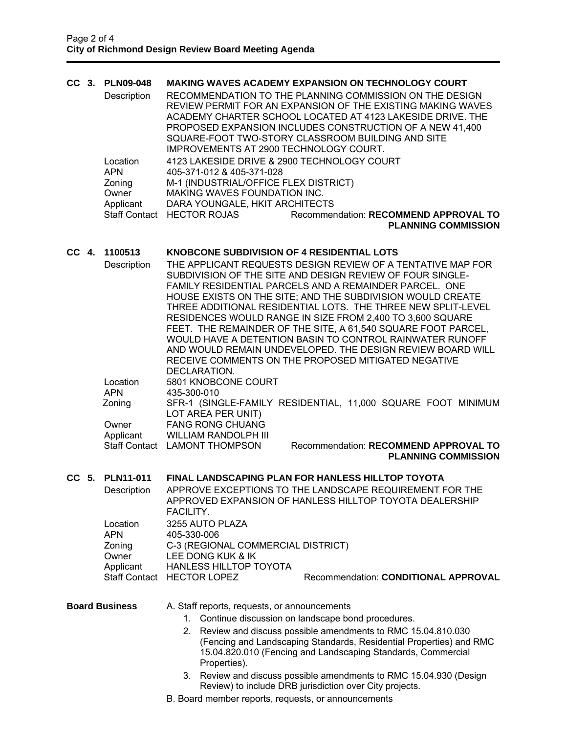# **CC 3. PLN09-048 MAKING WAVES ACADEMY EXPANSION ON TECHNOLOGY COURT**

Description RECOMMENDATION TO THE PLANNING COMMISSION ON THE DESIGN REVIEW PERMIT FOR AN EXPANSION OF THE EXISTING MAKING WAVES ACADEMY CHARTER SCHOOL LOCATED AT 4123 LAKESIDE DRIVE. THE PROPOSED EXPANSION INCLUDES CONSTRUCTION OF A NEW 41,400 SQUARE-FOOT TWO-STORY CLASSROOM BUILDING AND SITE IMPROVEMENTS AT 2900 TECHNOLOGY COURT. Location 4123 LAKESIDE DRIVE & 2900 TECHNOLOGY COURT APN 405-371-012 & 405-371-028 Zoning M-1 (INDUSTRIAL/OFFICE FLEX DISTRICT) Owner MAKING WAVES FOUNDATION INC. Applicant DARA YOUNGALE, HKIT ARCHITECTS Staff Contact HECTOR ROJAS Recommendation: **RECOMMEND APPROVAL TO PLANNING COMMISSION** 

## **CC 4. 1100513 KNOBCONE SUBDIVISION OF 4 RESIDENTIAL LOTS**

| Description | THE APPLICANT REQUESTS DESIGN REVIEW OF A TENTATIVE MAP FOR            |
|-------------|------------------------------------------------------------------------|
|             | SUBDIVISION OF THE SITE AND DESIGN REVIEW OF FOUR SINGLE-              |
|             | FAMILY RESIDENTIAL PARCELS AND A REMAINDER PARCEL. ONE                 |
|             | HOUSE EXISTS ON THE SITE; AND THE SUBDIVISION WOULD CREATE             |
|             | THREE ADDITIONAL RESIDENTIAL LOTS. THE THREE NEW SPLIT-LEVEL           |
|             | RESIDENCES WOULD RANGE IN SIZE FROM 2,400 TO 3,600 SQUARE              |
|             | FEET. THE REMAINDER OF THE SITE, A 61,540 SQUARE FOOT PARCEL,          |
|             | WOULD HAVE A DETENTION BASIN TO CONTROL RAINWATER RUNOFF               |
|             | AND WOULD REMAIN UNDEVELOPED. THE DESIGN REVIEW BOARD WILL             |
|             | RECEIVE COMMENTS ON THE PROPOSED MITIGATED NEGATIVE                    |
|             | DECLARATION.                                                           |
| Location    | 5801 KNOBCONE COURT                                                    |
| <b>APN</b>  | 435-300-010                                                            |
| Zoning      | SFR-1 (SINGLE-FAMILY RESIDENTIAL, 11,000 SQUARE FOOT MINIMUM           |
|             | LOT AREA PER UNIT)                                                     |
| Owner       | <b>FANG RONG CHUANG</b>                                                |
| Applicant   | WILLIAM RANDOLPH III                                                   |
|             | Recommendation: RECOMMEND APPROVAL TO<br>Staff Contact LAMONT THOMPSON |
|             | <b>PLANNING COMMISSION</b>                                             |

#### **CC 5. PLN11-011 FINAL LANDSCAPING PLAN FOR HANLESS HILLTOP TOYOTA**

Description APPROVE EXCEPTIONS TO THE LANDSCAPE REQUIREMENT FOR THE APPROVED EXPANSION OF HANLESS HILLTOP TOYOTA DEALERSHIP FACILITY. Location 3255 AUTO PLAZA<br>APN 405-330-006 APN 405-330-006 Zoning C-3 (REGIONAL COMMERCIAL DISTRICT) Owner LEE DONG KUK & IK Applicant HANLESS HILLTOP TOYOTA<br>Staff Contact HECTOR LOPEZ

# **Board Business** A. Staff reports, requests, or announcements

- 1. Continue discussion on landscape bond procedures.
- 2. Review and discuss possible amendments to RMC 15.04.810.030 (Fencing and Landscaping Standards, Residential Properties) and RMC 15.04.820.010 (Fencing and Landscaping Standards, Commercial Properties).

Recommendation: **CONDITIONAL APPROVAL** 

- 3. Review and discuss possible amendments to RMC 15.04.930 (Design Review) to include DRB jurisdiction over City projects.
- B. Board member reports, requests, or announcements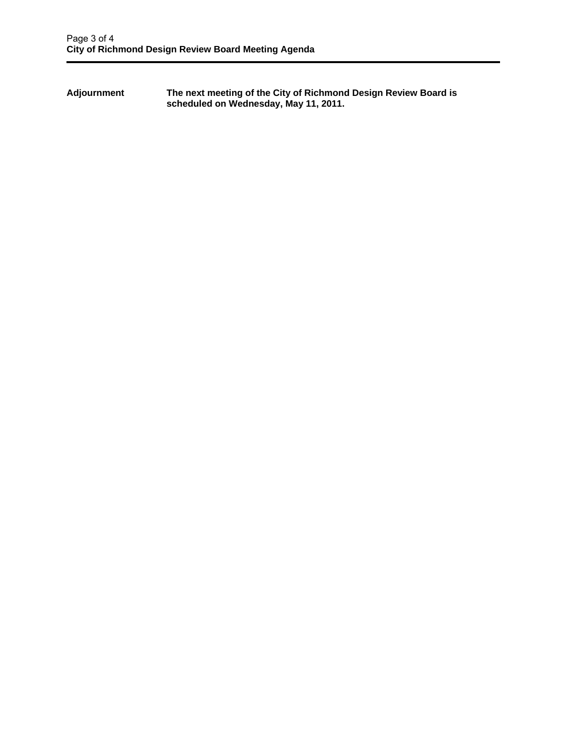**Adjournment The next meeting of the City of Richmond Design Review Board is scheduled on Wednesday, May 11, 2011.**